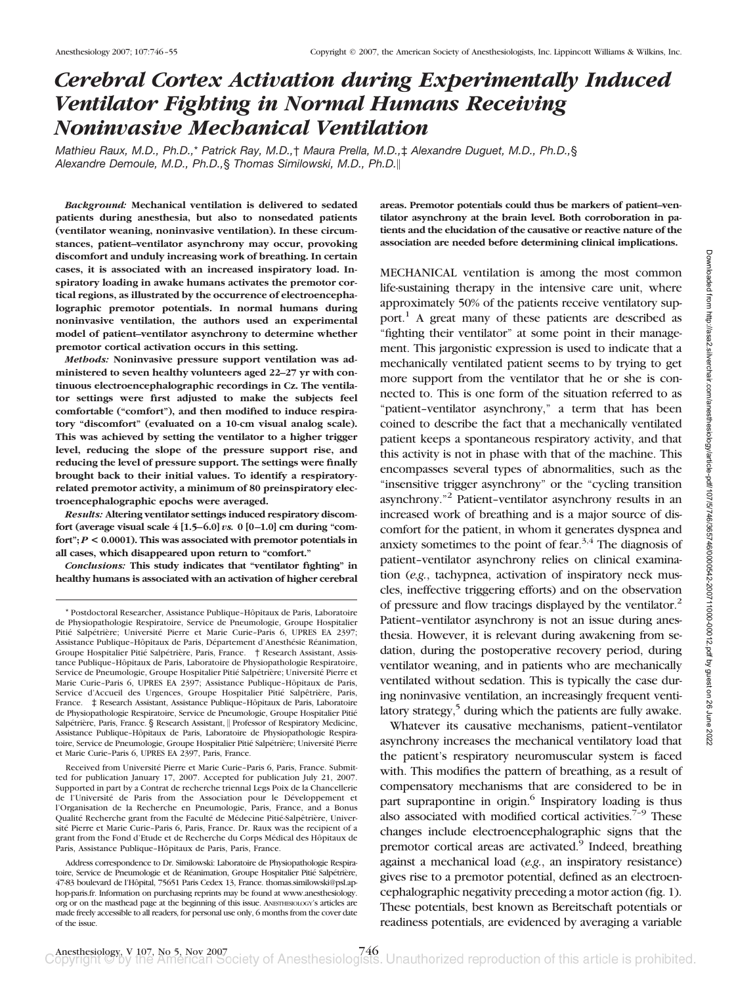# *Cerebral Cortex Activation during Experimentally Induced Ventilator Fighting in Normal Humans Receiving Noninvasive Mechanical Ventilation*

*Mathieu Raux, M.D., Ph.D.,*\* *Patrick Ray, M.D.,*† *Maura Prella, M.D.,*‡ *Alexandre Duguet, M.D., Ph.D.,*§ *Alexandre Demoule, M.D., Ph.D.,*§ *Thomas Similowski, M.D., Ph.D.*

*Background:* **Mechanical ventilation is delivered to sedated patients during anesthesia, but also to nonsedated patients (ventilator weaning, noninvasive ventilation). In these circumstances, patient–ventilator asynchrony may occur, provoking discomfort and unduly increasing work of breathing. In certain cases, it is associated with an increased inspiratory load. Inspiratory loading in awake humans activates the premotor cortical regions, as illustrated by the occurrence of electroencephalographic premotor potentials. In normal humans during noninvasive ventilation, the authors used an experimental model of patient–ventilator asynchrony to determine whether premotor cortical activation occurs in this setting.**

*Methods:* **Noninvasive pressure support ventilation was administered to seven healthy volunteers aged 22–27 yr with continuous electroencephalographic recordings in Cz. The ventilator settings were first adjusted to make the subjects feel comfortable ("comfort"), and then modified to induce respiratory "discomfort" (evaluated on a 10-cm visual analog scale). This was achieved by setting the ventilator to a higher trigger level, reducing the slope of the pressure support rise, and reducing the level of pressure support. The settings were finally brought back to their initial values. To identify a respiratoryrelated premotor activity, a minimum of 80 preinspiratory electroencephalographic epochs were averaged.**

*Results:* **Altering ventilator settings induced respiratory discomfort (average visual scale 4 [1.5–6.0]** *vs.* **0 [0–1.0] cm during "comfort";** *P* **< 0.0001). This was associated with premotor potentials in all cases, which disappeared upon return to "comfort."**

*Conclusions:* **This study indicates that "ventilator fighting" in healthy humans is associated with an activation of higher cerebral**

Received from Université Pierre et Marie Curie-Paris 6, Paris, France. Submitted for publication January 17, 2007. Accepted for publication July 21, 2007. Supported in part by a Contrat de recherche triennal Legs Poix de la Chancellerie de l'Université de Paris from the Association pour le Développement et l'Organisation de la Recherche en Pneumologie, Paris, France, and a Bonus Qualité Recherche grant from the Faculté de Médecine Pitié-Salpêtrière, Université Pierre et Marie Curie–Paris 6, Paris, France. Dr. Raux was the recipient of a grant from the Fond d'Etude et de Recherche du Corps Médical des Hôpitaux de Paris, Assistance Publique-Hôpitaux de Paris, Paris, France.

**areas. Premotor potentials could thus be markers of patient–ventilator asynchrony at the brain level. Both corroboration in patients and the elucidation of the causative or reactive nature of the association are needed before determining clinical implications.**

MECHANICAL ventilation is among the most common life-sustaining therapy in the intensive care unit, where approximately 50% of the patients receive ventilatory support.<sup>1</sup> A great many of these patients are described as "fighting their ventilator" at some point in their management. This jargonistic expression is used to indicate that a mechanically ventilated patient seems to by trying to get more support from the ventilator that he or she is connected to. This is one form of the situation referred to as "patient–ventilator asynchrony," a term that has been coined to describe the fact that a mechanically ventilated patient keeps a spontaneous respiratory activity, and that this activity is not in phase with that of the machine. This encompasses several types of abnormalities, such as the "insensitive trigger asynchrony" or the "cycling transition asynchrony."2 Patient–ventilator asynchrony results in an increased work of breathing and is a major source of discomfort for the patient, in whom it generates dyspnea and anxiety sometimes to the point of fear.<sup>3,4</sup> The diagnosis of patient–ventilator asynchrony relies on clinical examination (*e.g.*, tachypnea, activation of inspiratory neck muscles, ineffective triggering efforts) and on the observation of pressure and flow tracings displayed by the ventilator.2 Patient–ventilator asynchrony is not an issue during anesthesia. However, it is relevant during awakening from sedation, during the postoperative recovery period, during ventilator weaning, and in patients who are mechanically ventilated without sedation. This is typically the case during noninvasive ventilation, an increasingly frequent ventilatory strategy, $5$  during which the patients are fully awake.

Whatever its causative mechanisms, patient–ventilator asynchrony increases the mechanical ventilatory load that the patient's respiratory neuromuscular system is faced with. This modifies the pattern of breathing, as a result of compensatory mechanisms that are considered to be in part suprapontine in origin.<sup>6</sup> Inspiratory loading is thus also associated with modified cortical activities. $7-9$  These changes include electroencephalographic signs that the premotor cortical areas are activated.<sup>9</sup> Indeed, breathing against a mechanical load (*e.g.*, an inspiratory resistance) gives rise to a premotor potential, defined as an electroencephalographic negativity preceding a motor action (fig. 1). These potentials, best known as Bereitschaft potentials or readiness potentials, are evidenced by averaging a variable

<sup>\*</sup> Postdoctoral Researcher, Assistance Publique–Hoˆpitaux de Paris, Laboratoire de Physiopathologie Respiratoire, Service de Pneumologie, Groupe Hospitalier Pitié Salpétrière; Université Pierre et Marie Curie-Paris 6, UPRES EA 2397; Assistance Publique-Hôpitaux de Paris, Département d'Anesthésie Réanimation, Groupe Hospitalier Pitié Salpétrière, Paris, France. † Research Assistant, Assistance Publique-Hôpitaux de Paris, Laboratoire de Physiopathologie Respiratoire, Service de Pneumologie, Groupe Hospitalier Pitié Salpétrière; Université Pierre et Marie Curie-Paris 6, UPRES EA 2397; Assistance Publique-Hôpitaux de Paris, Service d'Accueil des Urgences, Groupe Hospitalier Pitié Salpêtrière, Paris, France.  $\pm$  Research Assistant, Assistance Publique-Hôpitaux de Paris, Laboratoire de Physiopathologie Respiratoire, Service de Pneumologie, Groupe Hospitalier Pitie´ Salpétrière, Paris, France. § Research Assistant, II Professor of Respiratory Medicine, Assistance Publique-Hôpitaux de Paris, Laboratoire de Physiopathologie Respiratoire, Service de Pneumologie, Groupe Hospitalier Pitié Salpétrière; Université Pierre et Marie Curie–Paris 6, UPRES EA 2397, Paris, France.

Address correspondence to Dr. Similowski: Laboratoire de Physiopathologie Respiratoire, Service de Pneumologie et de Réanimation, Groupe Hospitalier Pitié Salpétrière, 47-83 boulevard de l'Hôpital, 75651 Paris Cedex 13, France. thomas.similowski@psl.aphop-paris.fr. Information on purchasing reprints may be found at www.anesthesiology. org or on the masthead page at the beginning of this issue. ANESTHESIOLOGY's articles are made freely accessible to all readers, for personal use only, 6 months from the cover date of the issue.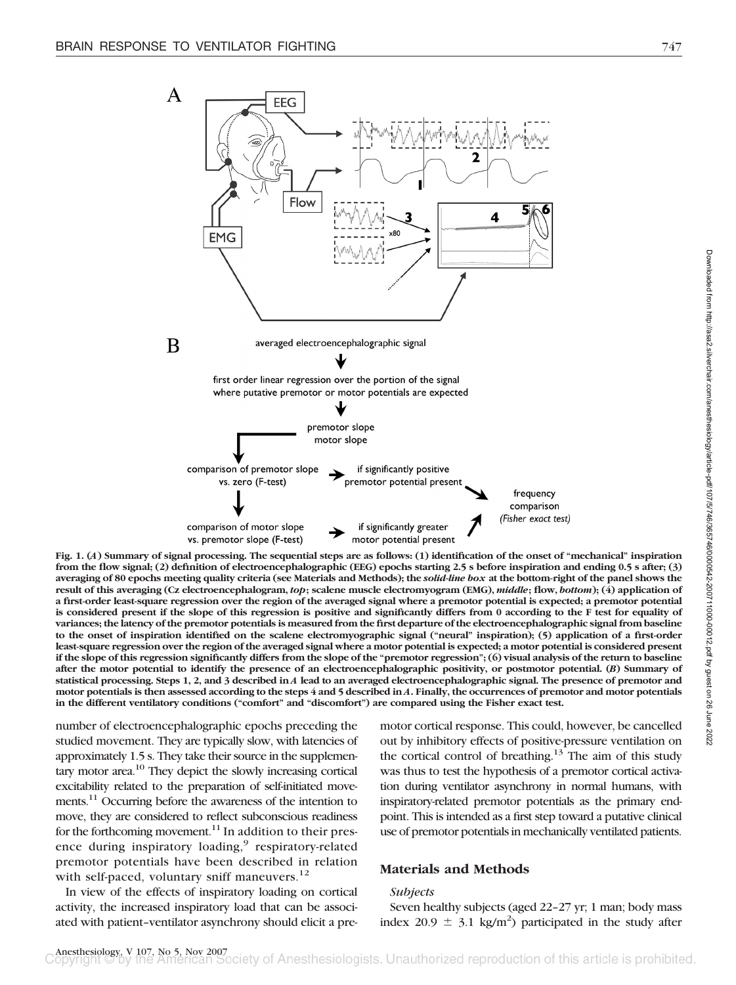

**Fig. 1. (***A***) Summary of signal processing. The sequential steps are as follows: (1) identification of the onset of "mechanical" inspiration from the flow signal; (2) definition of electroencephalographic (EEG) epochs starting 2.5 s before inspiration and ending 0.5 s after; (3) averaging of 80 epochs meeting quality criteria (see Materials and Methods); the** *solid-line box* **at the bottom-right of the panel shows the result of this averaging (Cz electroencephalogram,** *top***; scalene muscle electromyogram (EMG),** *middle***; flow,** *bottom***); (4) application of a first-order least-square regression over the region of the averaged signal where a premotor potential is expected; a premotor potential is considered present if the slope of this regression is positive and significantly differs from 0 according to the F test for equality of variances; the latency of the premotor potentials is measured from the first departure of the electroencephalographic signal from baseline to the onset of inspiration identified on the scalene electromyographic signal ("neural" inspiration); (5) application of a first-order least-square regression over the region of the averaged signal where a motor potential is expected; a motor potential is considered present if the slope of this regression significantly differs from the slope of the "premotor regression"; (6) visual analysis of the return to baseline after the motor potential to identify the presence of an electroencephalographic positivity, or postmotor potential. (***B***) Summary of statistical processing. Steps 1, 2, and 3 described in** *A* **lead to an averaged electroencephalographic signal. The presence of premotor and motor potentials is then assessed according to the steps 4 and 5 described in** *A***. Finally, the occurrences of premotor and motor potentials in the different ventilatory conditions ("comfort" and "discomfort") are compared using the Fisher exact test.**

number of electroencephalographic epochs preceding the studied movement. They are typically slow, with latencies of approximately 1.5 s. They take their source in the supplementary motor area.10 They depict the slowly increasing cortical excitability related to the preparation of self-initiated movements.<sup>11</sup> Occurring before the awareness of the intention to move, they are considered to reflect subconscious readiness for the forthcoming movement. $11$  In addition to their presence during inspiratory loading,<sup>9</sup> respiratory-related premotor potentials have been described in relation with self-paced, voluntary sniff maneuvers. $12$ 

In view of the effects of inspiratory loading on cortical activity, the increased inspiratory load that can be associated with patient–ventilator asynchrony should elicit a premotor cortical response. This could, however, be cancelled out by inhibitory effects of positive-pressure ventilation on the cortical control of breathing.<sup>13</sup> The aim of this study was thus to test the hypothesis of a premotor cortical activation during ventilator asynchrony in normal humans, with inspiratory-related premotor potentials as the primary endpoint. This is intended as a first step toward a putative clinical use of premotor potentials in mechanically ventilated patients.

# **Materials and Methods**

## *Subjects*

Seven healthy subjects (aged 22–27 yr; 1 man; body mass index 20.9  $\pm$  3.1 kg/m<sup>2</sup>) participated in the study after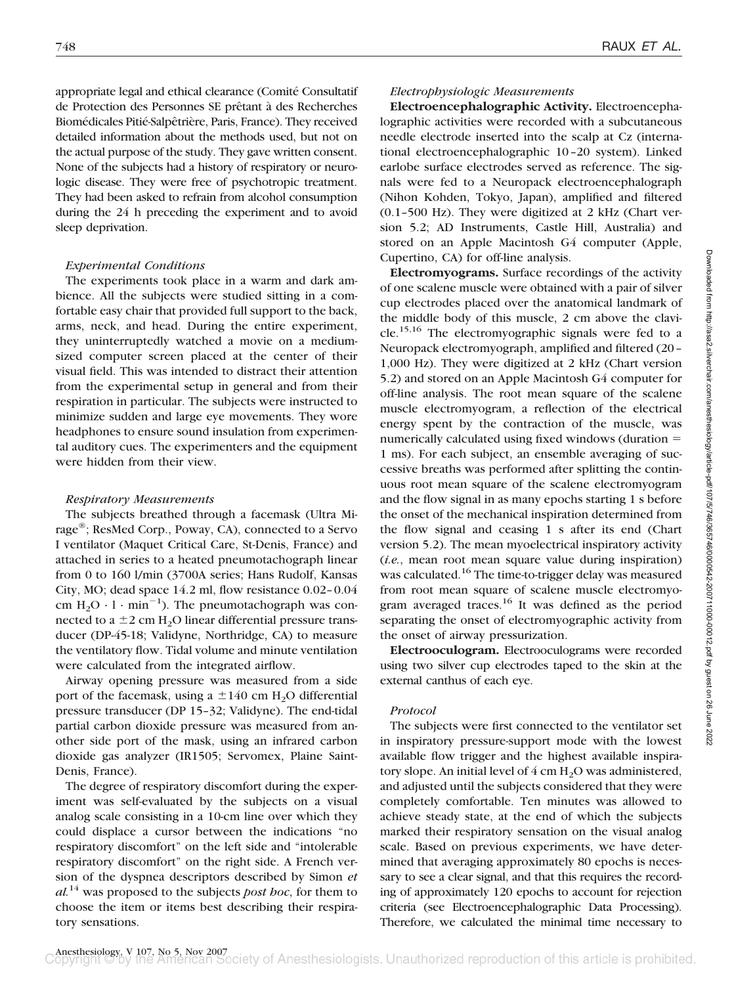appropriate legal and ethical clearance (Comité Consultatif de Protection des Personnes SE prêtant à des Recherches Biomédicales Pitié-Salpêtrière, Paris, France). They received detailed information about the methods used, but not on the actual purpose of the study. They gave written consent. None of the subjects had a history of respiratory or neurologic disease. They were free of psychotropic treatment. They had been asked to refrain from alcohol consumption during the 24 h preceding the experiment and to avoid sleep deprivation.

## *Experimental Conditions*

The experiments took place in a warm and dark ambience. All the subjects were studied sitting in a comfortable easy chair that provided full support to the back, arms, neck, and head. During the entire experiment, they uninterruptedly watched a movie on a mediumsized computer screen placed at the center of their visual field. This was intended to distract their attention from the experimental setup in general and from their respiration in particular. The subjects were instructed to minimize sudden and large eye movements. They wore headphones to ensure sound insulation from experimental auditory cues. The experimenters and the equipment were hidden from their view.

## *Respiratory Measurements*

The subjects breathed through a facemask (Ultra Mirage®; ResMed Corp., Poway, CA), connected to a Servo I ventilator (Maquet Critical Care, St-Denis, France) and attached in series to a heated pneumotachograph linear from 0 to 160 l/min (3700A series; Hans Rudolf, Kansas City, MO; dead space 14.2 ml, flow resistance 0.02–0.04 cm  $H_2O \cdot 1 \cdot min^{-1}$ ). The pneumotachograph was connected to a  $\pm 2$  cm H<sub>2</sub>O linear differential pressure transducer (DP-45-18; Validyne, Northridge, CA) to measure the ventilatory flow. Tidal volume and minute ventilation were calculated from the integrated airflow.

Airway opening pressure was measured from a side port of the facemask, using a  $\pm 140$  cm H<sub>2</sub>O differential pressure transducer (DP 15–32; Validyne). The end-tidal partial carbon dioxide pressure was measured from another side port of the mask, using an infrared carbon dioxide gas analyzer (IR1505; Servomex, Plaine Saint-Denis, France).

The degree of respiratory discomfort during the experiment was self-evaluated by the subjects on a visual analog scale consisting in a 10-cm line over which they could displace a cursor between the indications "no respiratory discomfort" on the left side and "intolerable respiratory discomfort" on the right side. A French version of the dyspnea descriptors described by Simon *et al.*<sup>14</sup> was proposed to the subjects *post hoc*, for them to choose the item or items best describing their respiratory sensations.

## *Electrophysiologic Measurements*

**Electroencephalographic Activity.** Electroencephalographic activities were recorded with a subcutaneous needle electrode inserted into the scalp at Cz (international electroencephalographic 10–20 system). Linked earlobe surface electrodes served as reference. The signals were fed to a Neuropack electroencephalograph (Nihon Kohden, Tokyo, Japan), amplified and filtered (0.1–500 Hz). They were digitized at 2 kHz (Chart version 5.2; AD Instruments, Castle Hill, Australia) and stored on an Apple Macintosh G4 computer (Apple, Cupertino, CA) for off-line analysis.

**Electromyograms.** Surface recordings of the activity of one scalene muscle were obtained with a pair of silver cup electrodes placed over the anatomical landmark of the middle body of this muscle, 2 cm above the clavicle.<sup>15,16</sup> The electromyographic signals were fed to a Neuropack electromyograph, amplified and filtered (20– 1,000 Hz). They were digitized at 2 kHz (Chart version 5.2) and stored on an Apple Macintosh G4 computer for off-line analysis. The root mean square of the scalene muscle electromyogram, a reflection of the electrical energy spent by the contraction of the muscle, was numerically calculated using fixed windows (duration 1 ms). For each subject, an ensemble averaging of successive breaths was performed after splitting the continuous root mean square of the scalene electromyogram and the flow signal in as many epochs starting 1 s before the onset of the mechanical inspiration determined from the flow signal and ceasing 1 s after its end (Chart version 5.2). The mean myoelectrical inspiratory activity (*i.e.*, mean root mean square value during inspiration) was calculated.<sup>16</sup> The time-to-trigger delay was measured from root mean square of scalene muscle electromyogram averaged traces.<sup>16</sup> It was defined as the period separating the onset of electromyographic activity from the onset of airway pressurization.

**Electrooculogram.** Electrooculograms were recorded using two silver cup electrodes taped to the skin at the external canthus of each eye.

## *Protocol*

The subjects were first connected to the ventilator set in inspiratory pressure-support mode with the lowest available flow trigger and the highest available inspiratory slope. An initial level of  $4 \text{ cm H}_2\text{O}$  was administered, and adjusted until the subjects considered that they were completely comfortable. Ten minutes was allowed to achieve steady state, at the end of which the subjects marked their respiratory sensation on the visual analog scale. Based on previous experiments, we have determined that averaging approximately 80 epochs is necessary to see a clear signal, and that this requires the recording of approximately 120 epochs to account for rejection criteria (see Electroencephalographic Data Processing). Therefore, we calculated the minimal time necessary to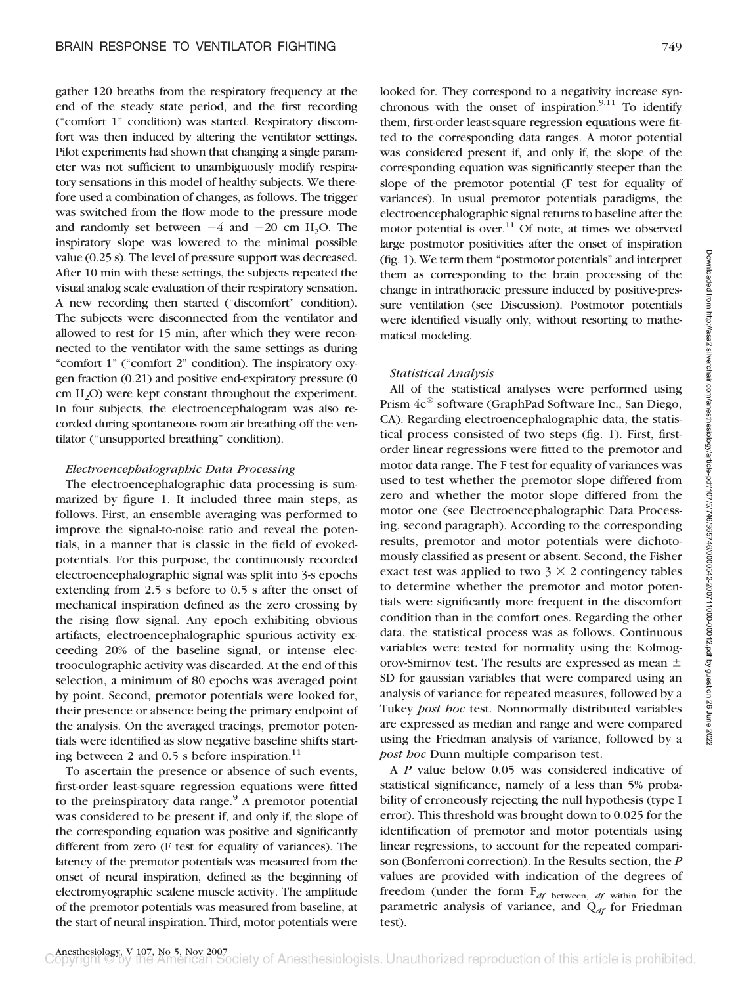gather 120 breaths from the respiratory frequency at the end of the steady state period, and the first recording ("comfort 1" condition) was started. Respiratory discomfort was then induced by altering the ventilator settings. Pilot experiments had shown that changing a single parameter was not sufficient to unambiguously modify respiratory sensations in this model of healthy subjects. We therefore used a combination of changes, as follows. The trigger was switched from the flow mode to the pressure mode and randomly set between  $-4$  and  $-20$  cm  $H_2O$ . The inspiratory slope was lowered to the minimal possible value (0.25 s). The level of pressure support was decreased. After 10 min with these settings, the subjects repeated the visual analog scale evaluation of their respiratory sensation. A new recording then started ("discomfort" condition). The subjects were disconnected from the ventilator and allowed to rest for 15 min, after which they were reconnected to the ventilator with the same settings as during "comfort 1" ("comfort 2" condition). The inspiratory oxygen fraction (0.21) and positive end-expiratory pressure (0  $cm H<sub>2</sub>O$ ) were kept constant throughout the experiment. In four subjects, the electroencephalogram was also recorded during spontaneous room air breathing off the ventilator ("unsupported breathing" condition).

## *Electroencephalographic Data Processing*

The electroencephalographic data processing is summarized by figure 1. It included three main steps, as follows. First, an ensemble averaging was performed to improve the signal-to-noise ratio and reveal the potentials, in a manner that is classic in the field of evokedpotentials. For this purpose, the continuously recorded electroencephalographic signal was split into 3-s epochs extending from 2.5 s before to 0.5 s after the onset of mechanical inspiration defined as the zero crossing by the rising flow signal. Any epoch exhibiting obvious artifacts, electroencephalographic spurious activity exceeding 20% of the baseline signal, or intense electrooculographic activity was discarded. At the end of this selection, a minimum of 80 epochs was averaged point by point. Second, premotor potentials were looked for, their presence or absence being the primary endpoint of the analysis. On the averaged tracings, premotor potentials were identified as slow negative baseline shifts starting between 2 and 0.5 s before inspiration.<sup>11</sup>

To ascertain the presence or absence of such events, first-order least-square regression equations were fitted to the preinspiratory data range.<sup>9</sup> A premotor potential was considered to be present if, and only if, the slope of the corresponding equation was positive and significantly different from zero (F test for equality of variances). The latency of the premotor potentials was measured from the onset of neural inspiration, defined as the beginning of electromyographic scalene muscle activity. The amplitude of the premotor potentials was measured from baseline, at the start of neural inspiration. Third, motor potentials were

looked for. They correspond to a negativity increase synchronous with the onset of inspiration. $9,11$  To identify them, first-order least-square regression equations were fitted to the corresponding data ranges. A motor potential was considered present if, and only if, the slope of the corresponding equation was significantly steeper than the slope of the premotor potential (F test for equality of variances). In usual premotor potentials paradigms, the electroencephalographic signal returns to baseline after the motor potential is over. $11$  Of note, at times we observed large postmotor positivities after the onset of inspiration (fig. 1). We term them "postmotor potentials" and interpret them as corresponding to the brain processing of the change in intrathoracic pressure induced by positive-pressure ventilation (see Discussion). Postmotor potentials were identified visually only, without resorting to mathematical modeling.

## *Statistical Analysis*

All of the statistical analyses were performed using Prism  $4c^{\circledast}$  software (GraphPad Software Inc., San Diego, CA). Regarding electroencephalographic data, the statistical process consisted of two steps (fig. 1). First, firstorder linear regressions were fitted to the premotor and motor data range. The F test for equality of variances was used to test whether the premotor slope differed from zero and whether the motor slope differed from the motor one (see Electroencephalographic Data Processing, second paragraph). According to the corresponding results, premotor and motor potentials were dichotomously classified as present or absent. Second, the Fisher exact test was applied to two  $3 \times 2$  contingency tables to determine whether the premotor and motor potentials were significantly more frequent in the discomfort condition than in the comfort ones. Regarding the other data, the statistical process was as follows. Continuous variables were tested for normality using the Kolmogorov-Smirnov test. The results are expressed as mean  $\pm$ SD for gaussian variables that were compared using an analysis of variance for repeated measures, followed by a Tukey *post hoc* test. Nonnormally distributed variables are expressed as median and range and were compared using the Friedman analysis of variance, followed by a *post hoc* Dunn multiple comparison test.

A *P* value below 0.05 was considered indicative of statistical significance, namely of a less than 5% probability of erroneously rejecting the null hypothesis (type I error). This threshold was brought down to 0.025 for the identification of premotor and motor potentials using linear regressions, to account for the repeated comparison (Bonferroni correction). In the Results section, the *P* values are provided with indication of the degrees of freedom (under the form F*df* between, *df* within for the parametric analysis of variance, and Q<sub>df</sub> for Friedman test).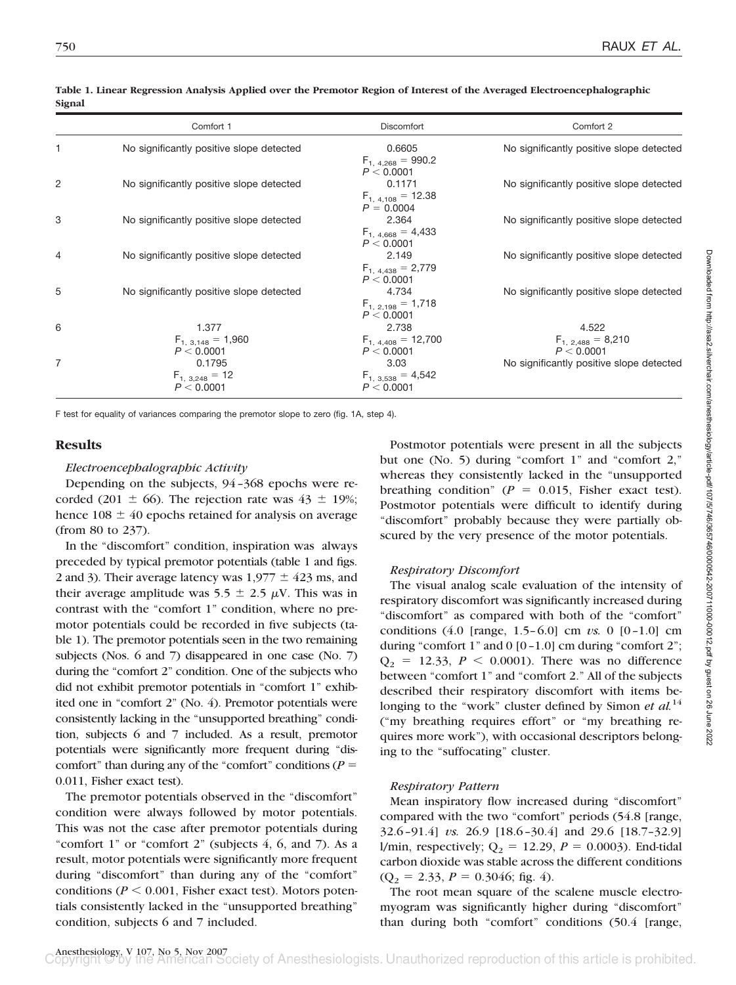|   | Comfort 1                                     | Discomfort                                      | Comfort 2                                     |
|---|-----------------------------------------------|-------------------------------------------------|-----------------------------------------------|
|   | No significantly positive slope detected      | 0.6605<br>$F_{1, 4,268} = 990.2$<br>P < 0.0001  | No significantly positive slope detected      |
| 2 | No significantly positive slope detected      | 0.1171<br>$F_{1,4,108} = 12.38$<br>$P = 0.0004$ | No significantly positive slope detected      |
| 3 | No significantly positive slope detected      | 2.364<br>$F_{1,4,668} = 4,433$<br>P < 0.0001    | No significantly positive slope detected      |
| 4 | No significantly positive slope detected      | 2.149<br>$F_{1,4,438} = 2,779$<br>P < 0.0001    | No significantly positive slope detected      |
| 5 | No significantly positive slope detected      | 4.734<br>$F_{1, 2, 198} = 1,718$<br>P < 0.0001  | No significantly positive slope detected      |
| 6 | 1.377<br>$F_{1, 3,148} = 1,960$<br>P < 0.0001 | 2.738<br>$F_{1,4,408} = 12,700$<br>P < 0.0001   | 4.522<br>$F_{1, 2,488} = 8,210$<br>P < 0.0001 |
| 7 | 0.1795<br>$F_{1, 3,248} = 12$<br>P < 0.0001   | 3.03<br>$F_{1, 3,538} = 4,542$<br>P < 0.0001    | No significantly positive slope detected      |

#### **Table 1. Linear Regression Analysis Applied over the Premotor Region of Interest of the Averaged Electroencephalographic Signal**

F test for equality of variances comparing the premotor slope to zero (fig. 1A, step 4).

# **Results**

# *Electroencephalographic Activity*

Depending on the subjects, 94–368 epochs were recorded (201  $\pm$  66). The rejection rate was 43  $\pm$  19%; hence  $108 \pm 40$  epochs retained for analysis on average (from 80 to 237).

In the "discomfort" condition, inspiration was always preceded by typical premotor potentials (table 1 and figs. 2 and 3). Their average latency was  $1,977 \pm 423$  ms, and their average amplitude was  $5.5 \pm 2.5 \mu V$ . This was in contrast with the "comfort 1" condition, where no premotor potentials could be recorded in five subjects (table 1). The premotor potentials seen in the two remaining subjects (Nos. 6 and 7) disappeared in one case (No. 7) during the "comfort 2" condition. One of the subjects who did not exhibit premotor potentials in "comfort 1" exhibited one in "comfort 2" (No. 4). Premotor potentials were consistently lacking in the "unsupported breathing" condition, subjects 6 and 7 included. As a result, premotor potentials were significantly more frequent during "discomfort" than during any of the "comfort" conditions ( $P =$ 0.011, Fisher exact test).

The premotor potentials observed in the "discomfort" condition were always followed by motor potentials. This was not the case after premotor potentials during "comfort 1" or "comfort 2" (subjects 4, 6, and 7). As a result, motor potentials were significantly more frequent during "discomfort" than during any of the "comfort" conditions ( $P \le 0.001$ , Fisher exact test). Motors potentials consistently lacked in the "unsupported breathing" condition, subjects 6 and 7 included.

Postmotor potentials were present in all the subjects but one (No. 5) during "comfort 1" and "comfort 2," whereas they consistently lacked in the "unsupported breathing condition" ( $P = 0.015$ , Fisher exact test). Postmotor potentials were difficult to identify during "discomfort" probably because they were partially obscured by the very presence of the motor potentials.

# *Respiratory Discomfort*

The visual analog scale evaluation of the intensity of respiratory discomfort was significantly increased during "discomfort" as compared with both of the "comfort" conditions (4.0 [range, 1.5–6.0] cm *vs.* 0 [0–1.0] cm during "comfort 1" and  $0$  [0-1.0] cm during "comfort 2";  $Q_2 = 12.33, P < 0.0001$ . There was no difference between "comfort 1" and "comfort 2." All of the subjects described their respiratory discomfort with items belonging to the "work" cluster defined by Simon *et al.*<sup>14</sup> ("my breathing requires effort" or "my breathing requires more work"), with occasional descriptors belonging to the "suffocating" cluster.

# *Respiratory Pattern*

Mean inspiratory flow increased during "discomfort" compared with the two "comfort" periods (54.8 [range, 32.6–91.4] *vs.* 26.9 [18.6–30.4] and 29.6 [18.7–32.9] l/min, respectively;  $Q_2 = 12.29$ ,  $P = 0.0003$ ). End-tidal carbon dioxide was stable across the different conditions  $(Q_2 = 2.33, P = 0.3046;$  fig. 4).

The root mean square of the scalene muscle electromyogram was significantly higher during "discomfort" than during both "comfort" conditions (50.4 [range,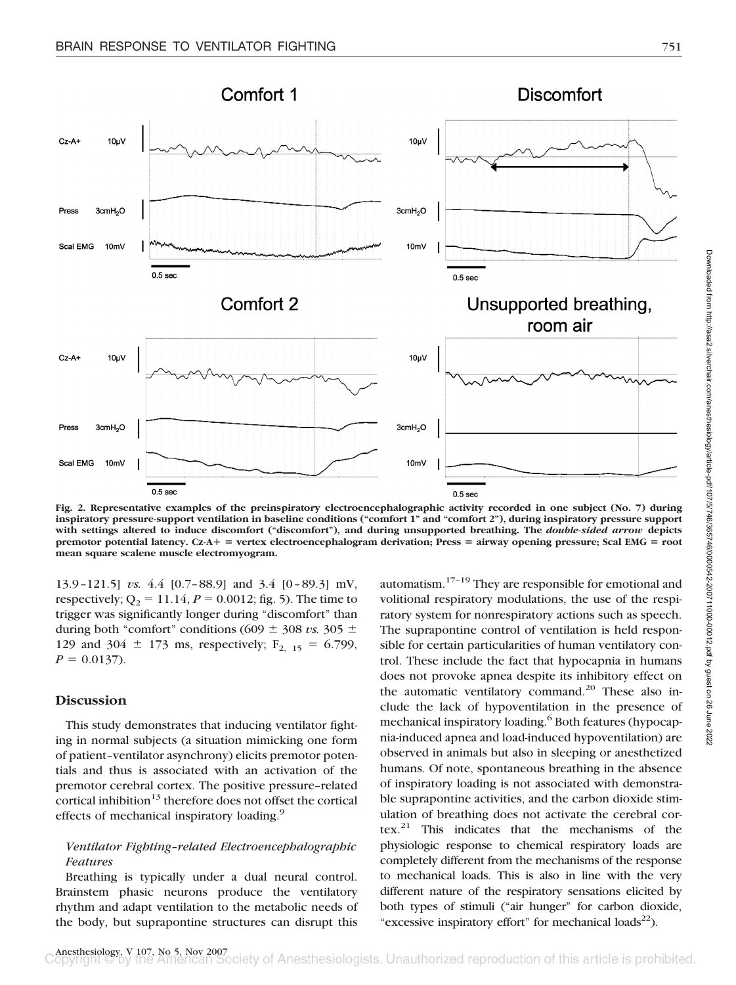

**Fig. 2. Representative examples of the preinspiratory electroencephalographic activity recorded in one subject (No. 7) during inspiratory pressure-support ventilation in baseline conditions ("comfort 1" and "comfort 2"), during inspiratory pressure support with settings altered to induce discomfort ("discomfort"), and during unsupported breathing. The** *double-sided arrow* **depicts premotor potential latency. Cz-A** - **vertex electroencephalogram derivation; Press** - **airway opening pressure; Scal EMG** - **root mean square scalene muscle electromyogram.**

13.9–121.5] *vs.* 4.4 [0.7–88.9] and 3.4 [0–89.3] mV, respectively;  $Q_2 = 11.14$ ,  $P = 0.0012$ ; fig. 5). The time to trigger was significantly longer during "discomfort" than during both "comfort" conditions (609  $\pm$  308 *vs.* 305  $\pm$ 129 and 304  $\pm$  173 ms, respectively; F<sub>2, 15</sub> = 6.799,  $P = 0.0137$ .

# **Discussion**

This study demonstrates that inducing ventilator fighting in normal subjects (a situation mimicking one form of patient–ventilator asynchrony) elicits premotor potentials and thus is associated with an activation of the premotor cerebral cortex. The positive pressure–related cortical inhibition<sup>13</sup> therefore does not offset the cortical effects of mechanical inspiratory loading.<sup>9</sup>

# *Ventilator Fighting–related Electroencephalographic Features*

Breathing is typically under a dual neural control. Brainstem phasic neurons produce the ventilatory rhythm and adapt ventilation to the metabolic needs of the body, but suprapontine structures can disrupt this

automatism. $17-19$  They are responsible for emotional and volitional respiratory modulations, the use of the respiratory system for nonrespiratory actions such as speech. The suprapontine control of ventilation is held responsible for certain particularities of human ventilatory control. These include the fact that hypocapnia in humans does not provoke apnea despite its inhibitory effect on the automatic ventilatory command.<sup>20</sup> These also include the lack of hypoventilation in the presence of mechanical inspiratory loading.<sup>6</sup> Both features (hypocapnia-induced apnea and load-induced hypoventilation) are observed in animals but also in sleeping or anesthetized humans. Of note, spontaneous breathing in the absence of inspiratory loading is not associated with demonstrable suprapontine activities, and the carbon dioxide stimulation of breathing does not activate the cerebral cortex.21 This indicates that the mechanisms of the physiologic response to chemical respiratory loads are completely different from the mechanisms of the response to mechanical loads. This is also in line with the very different nature of the respiratory sensations elicited by both types of stimuli ("air hunger" for carbon dioxide, "excessive inspiratory effort" for mechanical loads<sup>22</sup>).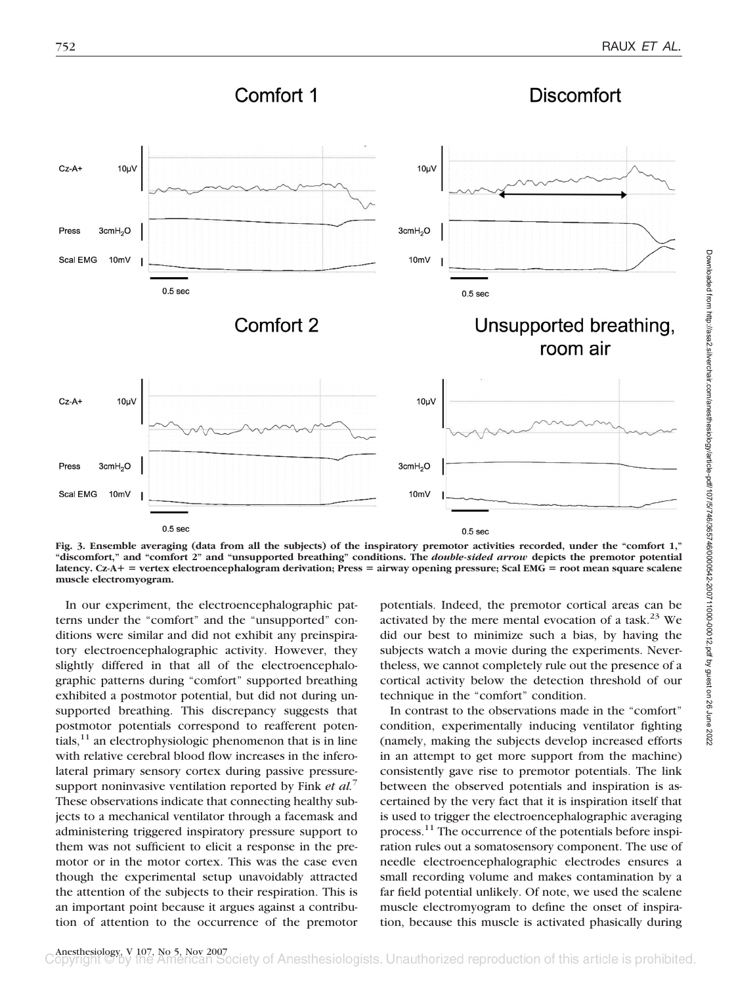

**Fig. 3. Ensemble averaging (data from all the subjects) of the inspiratory premotor activities recorded, under the "comfort 1," "discomfort," and "comfort 2" and "unsupported breathing" conditions. The** *double-sided arrow* **depicts the premotor potential** latency. Cz-A+ = vertex electroencephalogram derivation; Press = airway opening pressure; Scal EMG = root mean square scalene **muscle electromyogram.**

In our experiment, the electroencephalographic patterns under the "comfort" and the "unsupported" conditions were similar and did not exhibit any preinspiratory electroencephalographic activity. However, they slightly differed in that all of the electroencephalographic patterns during "comfort" supported breathing exhibited a postmotor potential, but did not during unsupported breathing. This discrepancy suggests that postmotor potentials correspond to reafferent potentials, $11$  an electrophysiologic phenomenon that is in line with relative cerebral blood flow increases in the inferolateral primary sensory cortex during passive pressuresupport noninvasive ventilation reported by Fink *et al.*<sup>7</sup> These observations indicate that connecting healthy subjects to a mechanical ventilator through a facemask and administering triggered inspiratory pressure support to them was not sufficient to elicit a response in the premotor or in the motor cortex. This was the case even though the experimental setup unavoidably attracted the attention of the subjects to their respiration. This is an important point because it argues against a contribution of attention to the occurrence of the premotor potentials. Indeed, the premotor cortical areas can be activated by the mere mental evocation of a task.<sup>23</sup> We did our best to minimize such a bias, by having the subjects watch a movie during the experiments. Nevertheless, we cannot completely rule out the presence of a cortical activity below the detection threshold of our technique in the "comfort" condition.

In contrast to the observations made in the "comfort" condition, experimentally inducing ventilator fighting (namely, making the subjects develop increased efforts in an attempt to get more support from the machine) consistently gave rise to premotor potentials. The link between the observed potentials and inspiration is ascertained by the very fact that it is inspiration itself that is used to trigger the electroencephalographic averaging process.<sup>11</sup> The occurrence of the potentials before inspiration rules out a somatosensory component. The use of needle electroencephalographic electrodes ensures a small recording volume and makes contamination by a far field potential unlikely. Of note, we used the scalene muscle electromyogram to define the onset of inspiration, because this muscle is activated phasically during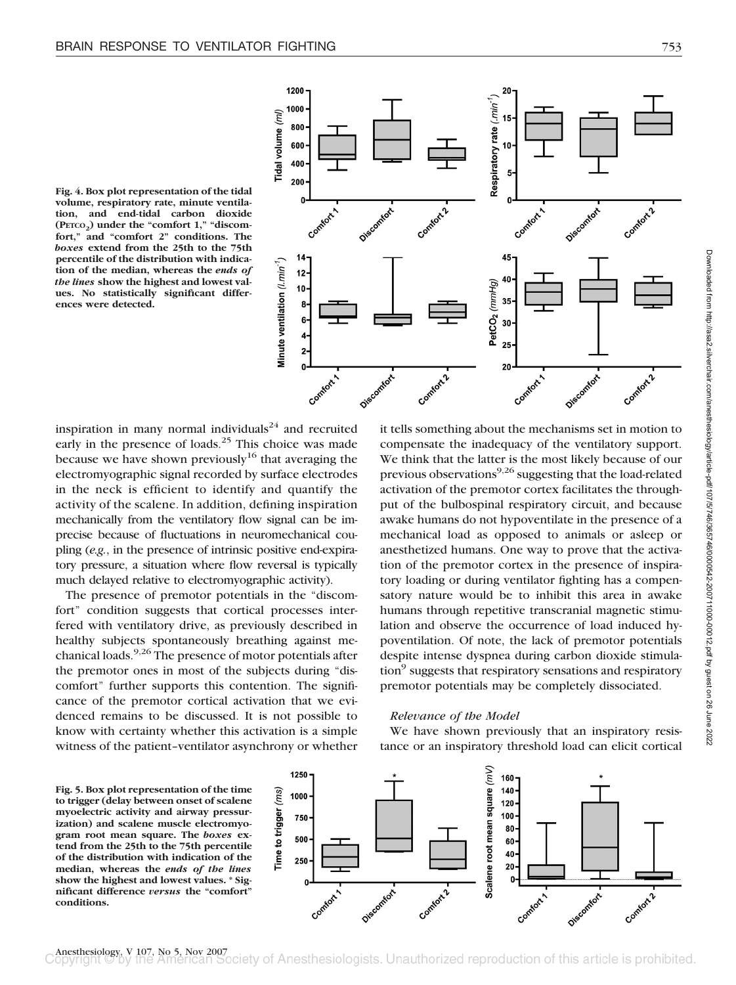





inspiration in many normal individuals $^{24}$  and recruited early in the presence of loads.<sup>25</sup> This choice was made because we have shown previously<sup>16</sup> that averaging the electromyographic signal recorded by surface electrodes in the neck is efficient to identify and quantify the activity of the scalene. In addition, defining inspiration mechanically from the ventilatory flow signal can be imprecise because of fluctuations in neuromechanical coupling (*e.g.*, in the presence of intrinsic positive end-expiratory pressure, a situation where flow reversal is typically much delayed relative to electromyographic activity).

The presence of premotor potentials in the "discomfort" condition suggests that cortical processes interfered with ventilatory drive, as previously described in healthy subjects spontaneously breathing against mechanical loads.9,26 The presence of motor potentials after the premotor ones in most of the subjects during "discomfort" further supports this contention. The significance of the premotor cortical activation that we evidenced remains to be discussed. It is not possible to know with certainty whether this activation is a simple witness of the patient–ventilator asynchrony or whether

it tells something about the mechanisms set in motion to compensate the inadequacy of the ventilatory support. We think that the latter is the most likely because of our previous observations<sup>9,26</sup> suggesting that the load-related activation of the premotor cortex facilitates the throughput of the bulbospinal respiratory circuit, and because awake humans do not hypoventilate in the presence of a mechanical load as opposed to animals or asleep or anesthetized humans. One way to prove that the activation of the premotor cortex in the presence of inspiratory loading or during ventilator fighting has a compensatory nature would be to inhibit this area in awake humans through repetitive transcranial magnetic stimulation and observe the occurrence of load induced hypoventilation. Of note, the lack of premotor potentials despite intense dyspnea during carbon dioxide stimulation<sup>9</sup> suggests that respiratory sensations and respiratory premotor potentials may be completely dissociated.

# *Relevance of the Model*

We have shown previously that an inspiratory resistance or an inspiratory threshold load can elicit cortical

**Fig. 5. Box plot representation of the time to trigger (delay between onset of scalene myoelectric activity and airway pressurization) and scalene muscle electromyogram root mean square. The** *boxes* **extend from the 25th to the 75th percentile of the distribution with indication of the median, whereas the** *ends of the lines* **show the highest and lowest values. \* Significant difference** *versus* **the "comfort" conditions.**

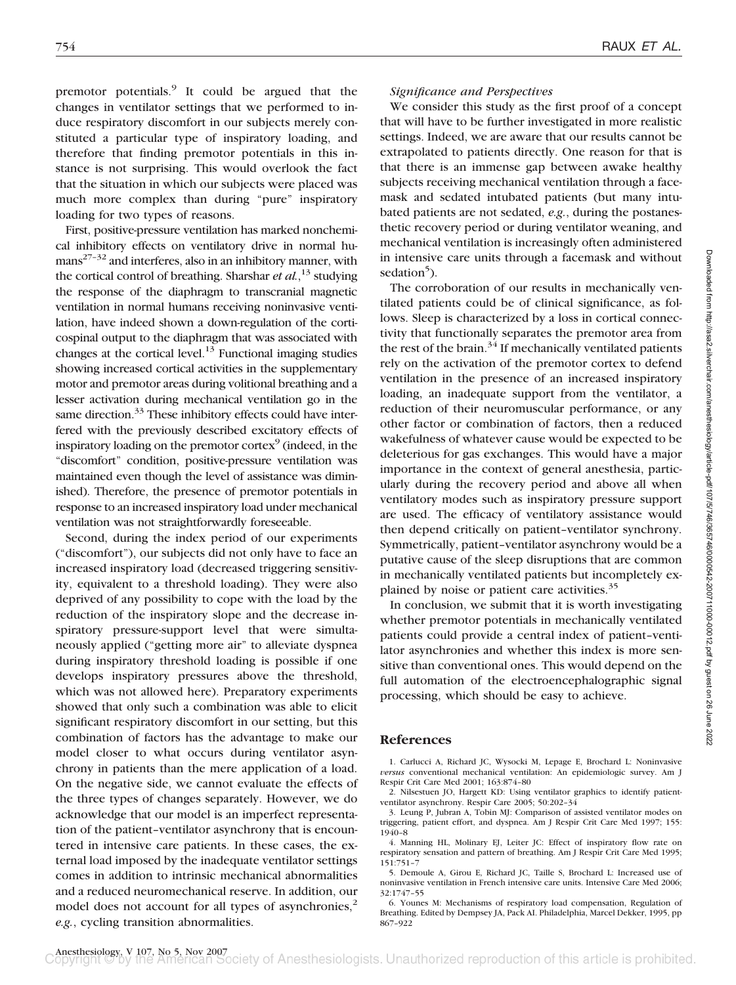premotor potentials.<sup>9</sup> It could be argued that the changes in ventilator settings that we performed to induce respiratory discomfort in our subjects merely constituted a particular type of inspiratory loading, and therefore that finding premotor potentials in this instance is not surprising. This would overlook the fact that the situation in which our subjects were placed was much more complex than during "pure" inspiratory loading for two types of reasons.

First, positive-pressure ventilation has marked nonchemical inhibitory effects on ventilatory drive in normal hu $mans<sup>27-32</sup>$  and interferes, also in an inhibitory manner, with the cortical control of breathing. Sharshar *et al.*, <sup>13</sup> studying the response of the diaphragm to transcranial magnetic ventilation in normal humans receiving noninvasive ventilation, have indeed shown a down-regulation of the corticospinal output to the diaphragm that was associated with changes at the cortical level.<sup>13</sup> Functional imaging studies showing increased cortical activities in the supplementary motor and premotor areas during volitional breathing and a lesser activation during mechanical ventilation go in the same direction.<sup>33</sup> These inhibitory effects could have interfered with the previously described excitatory effects of inspiratory loading on the premotor cortex $\mathcal{S}$  (indeed, in the "discomfort" condition, positive-pressure ventilation was maintained even though the level of assistance was diminished). Therefore, the presence of premotor potentials in response to an increased inspiratory load under mechanical ventilation was not straightforwardly foreseeable.

Second, during the index period of our experiments ("discomfort"), our subjects did not only have to face an increased inspiratory load (decreased triggering sensitivity, equivalent to a threshold loading). They were also deprived of any possibility to cope with the load by the reduction of the inspiratory slope and the decrease inspiratory pressure-support level that were simultaneously applied ("getting more air" to alleviate dyspnea during inspiratory threshold loading is possible if one develops inspiratory pressures above the threshold, which was not allowed here). Preparatory experiments showed that only such a combination was able to elicit significant respiratory discomfort in our setting, but this combination of factors has the advantage to make our model closer to what occurs during ventilator asynchrony in patients than the mere application of a load. On the negative side, we cannot evaluate the effects of the three types of changes separately. However, we do acknowledge that our model is an imperfect representation of the patient–ventilator asynchrony that is encountered in intensive care patients. In these cases, the external load imposed by the inadequate ventilator settings comes in addition to intrinsic mechanical abnormalities and a reduced neuromechanical reserve. In addition, our model does not account for all types of asynchronies,<sup>2</sup> *e.g.*, cycling transition abnormalities.

## *Significance and Perspectives*

We consider this study as the first proof of a concept that will have to be further investigated in more realistic settings. Indeed, we are aware that our results cannot be extrapolated to patients directly. One reason for that is that there is an immense gap between awake healthy subjects receiving mechanical ventilation through a facemask and sedated intubated patients (but many intubated patients are not sedated, *e.g.*, during the postanesthetic recovery period or during ventilator weaning, and mechanical ventilation is increasingly often administered in intensive care units through a facemask and without sedation<sup>5</sup>).

The corroboration of our results in mechanically ventilated patients could be of clinical significance, as follows. Sleep is characterized by a loss in cortical connectivity that functionally separates the premotor area from the rest of the brain.<sup>34</sup> If mechanically ventilated patients rely on the activation of the premotor cortex to defend ventilation in the presence of an increased inspiratory loading, an inadequate support from the ventilator, a reduction of their neuromuscular performance, or any other factor or combination of factors, then a reduced wakefulness of whatever cause would be expected to be deleterious for gas exchanges. This would have a major importance in the context of general anesthesia, particularly during the recovery period and above all when ventilatory modes such as inspiratory pressure support are used. The efficacy of ventilatory assistance would then depend critically on patient–ventilator synchrony. Symmetrically, patient–ventilator asynchrony would be a putative cause of the sleep disruptions that are common in mechanically ventilated patients but incompletely explained by noise or patient care activities.<sup>35</sup>

In conclusion, we submit that it is worth investigating whether premotor potentials in mechanically ventilated patients could provide a central index of patient–ventilator asynchronies and whether this index is more sensitive than conventional ones. This would depend on the full automation of the electroencephalographic signal processing, which should be easy to achieve.

## **References**

1. Carlucci A, Richard JC, Wysocki M, Lepage E, Brochard L: Noninvasive *versus* conventional mechanical ventilation: An epidemiologic survey. Am J Respir Crit Care Med 2001; 163:874–80

2. Nilsestuen JO, Hargett KD: Using ventilator graphics to identify patientventilator asynchrony. Respir Care 2005; 50:202–34

3. Leung P, Jubran A, Tobin MJ: Comparison of assisted ventilator modes on triggering, patient effort, and dyspnea. Am J Respir Crit Care Med 1997; 155: 1940–8

4. Manning HL, Molinary EJ, Leiter JC: Effect of inspiratory flow rate on respiratory sensation and pattern of breathing. Am J Respir Crit Care Med 1995; 151:751–7

5. Demoule A, Girou E, Richard JC, Taille S, Brochard L: Increased use of noninvasive ventilation in French intensive care units. Intensive Care Med 2006; 32:1747–55

6. Younes M: Mechanisms of respiratory load compensation, Regulation of Breathing. Edited by Dempsey JA, Pack AI. Philadelphia, Marcel Dekker, 1995, pp 867–922

Downloaded from http://asaZ.silverchair.com/anesthesiology/article-pdt/107/5/746/365746/0000542-200711000-00012.pdf by guest on 26 June 2022 Downloaded from http://asa2.silverchair.com/anesthesiology/article-pdf/107/5/746/365746/0000542-200711000-00012.pdf by guest on 26 June 2022